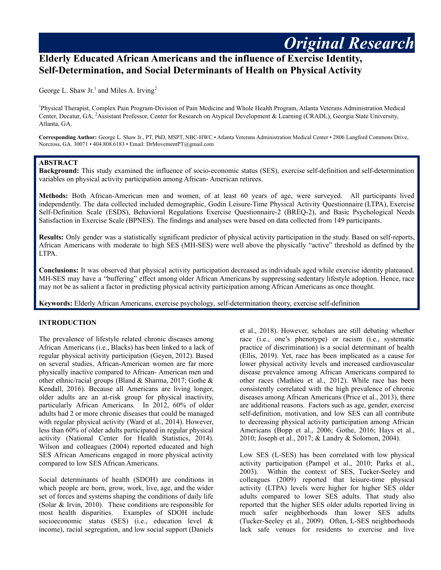# **Elderly Educated African Americans and the influence of Exercise Identity, Self-Determination, and Social Determinants of Health on Physical Activity**

George L. Shaw Jr.<sup>1</sup> and Miles A. Irving<sup>2</sup>

<sup>1</sup>Physical Therapist, Complex Pain Program-Division of Pain Medicine and Whole Health Program, Atlanta Veterans Administration Medical Center, Decatur, GA, <sup>2</sup>Assistant Professor, Center for Research on Atypical Development & Learning (CRADL), Georgia State University, Atlanta, GA.

**Corresponding Author:** George L. Shaw Jr., PT, PhD, MSPT, NBC-HWC • Atlanta Veterans Administration Medical Center • 2806 Langford Commons Drive, Norcross, GA. 30071 • 404.808.6183 • Email: DrMovementPT@gmail.com

## **ABSTRACT**

**Background:** This study examined the influence of socio-economic status (SES), exercise self-definition and self-determination variables on physical activity participation among African- American retirees.

**Methods:** Both African-American men and women, of at least 60 years of age, were surveyed. All participants lived independently. The data collected included demographic, Godin Leisure-Time Physical Activity Questionnaire (LTPA), Exercise Self-Definition Scale (ESDS), Behavioral Regulations Exercise Questionnaire-2 (BREQ-2), and Basic Psychological Needs Satisfaction in Exercise Scale (BPNES). The findings and analyses were based on data collected from 149 participants.

**Results:** Only gender was a statistically significant predictor of physical activity participation in the study. Based on self-reports, African Americans with moderate to high SES (MH-SES) were well above the physically "active" threshold as defined by the LTPA.

**Conclusions:** It was observed that physical activity participation decreased as individuals aged while exercise identity plateaued. MH-SES may have a "buffering" effect among older African Americans by suppressing sedentary lifestyle adoption. Hence, race may not be as salient a factor in predicting physical activity participation among African Americans as once thought.

**Keywords:** Elderly African Americans, exercise psychology, self-determination theory, exercise self-definition

## **INTRODUCTION**

The prevalence of lifestyle related chronic diseases among African Americans (i.e., Blacks) has been linked to a lack of regular physical activity participation (Geyen, 2012). Based on several studies, African-American women are far more physically inactive compared to African- American men and other ethnic/racial groups (Bland & Sharma, 2017; Gothe & Kendall, 2016). Because all Americans are living longer, older adults are an at-risk group for physical inactivity, particularly African Americans. In 2012, 60% of older adults had 2 or more chronic diseases that could be managed with regular physical activity (Ward et al., 2014). However, less than 60% of older adults participated in regular physical activity (National Center for Health Statistics, 2014). Wilson and colleagues (2004) reported educated and high SES African Americans engaged in more physical activity compared to low SES African Americans.

Social determinants of health (SDOH) are conditions in which people are born, grow, work, live, age, and the wider set of forces and systems shaping the conditions of daily life (Solar & Irvin, 2010). These conditions are responsible for most health disparities. Examples of SDOH include socioeconomic status (SES) (i.e., education level & income), racial segregation, and low social support (Daniels

et al., 2018). However, scholars are still debating whether race (i.e., one's phenotype) or racism (i.e., systematic practice of discrimination) is a social determinant of health (Ellis, 2019). Yet, race has been implicated as a cause for lower physical activity levels and increased cardiovascular disease prevalence among African Americans compared to other races (Mathieu et al., 2012). While race has been consistently correlated with the high prevalence of chronic diseases among African Americans (Price et al., 2013), there are additional reasons. Factors such as age, gender, exercise self-definition, motivation, and low SES can all contribute to decreasing physical activity participation among African Americans (Bopp et al., 2006; Gothe, 2016; Hays et al., 2010; Joseph et al., 2017; & Landry & Solomon, 2004).

*Original Research*

Low SES (L-SES) has been correlated with low physical activity participation (Pampel et al., 2010; Parks et al., 2003). Within the context of SES, Tucker-Seeley and colleagues (2009) reported that leisure-time physical activity (LTPA) levels were higher for higher SES older adults compared to lower SES adults. That study also reported that the higher SES older adults reported living in much safer neighborhoods than lower SES adults (Tucker-Seeley et al., 2009). Often, L-SES neighborhoods lack safe venues for residents to exercise and live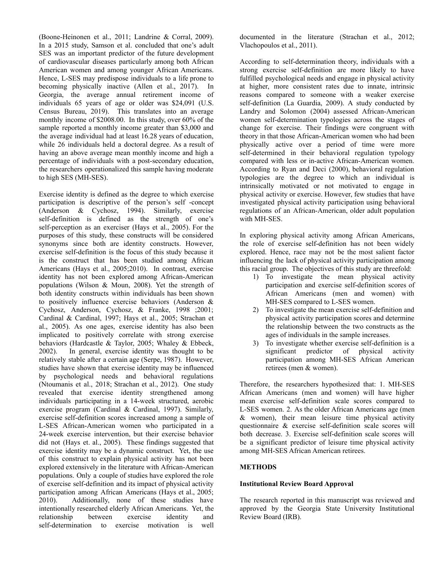(Boone-Heinonen et al., 2011; Landrine & Corral, 2009). In a 2015 study, Samson et al. concluded that one's adult SES was an important predictor of the future development of cardiovascular diseases particularly among both African American women and among younger African Americans. Hence, L-SES may predispose individuals to a life prone to becoming physically inactive (Allen et al., 2017). In Georgia, the average annual retirement income of individuals 65 years of age or older was \$24,091 (U.S. Census Bureau, 2019). This translates into an average monthly income of \$2008.00. In this study, over 60% of the sample reported a monthly income greater than \$3,000 and the average individual had at least 16.28 years of education, while 26 individuals held a doctoral degree. As a result of having an above average mean monthly income and high a percentage of individuals with a post-secondary education, the researchers operationalized this sample having moderate to high SES (MH-SES).

Exercise identity is defined as the degree to which exercise participation is descriptive of the person's self -concept (Anderson & Cychosz, 1994). Similarly, exercise self-definition is defined as the strength of one's self-perception as an exerciser (Hays et al., 2005). For the purposes of this study, these constructs will be considered synonyms since both are identity constructs. However, exercise self-definition is the focus of this study because it is the construct that has been studied among African Americans (Hays et al., 2005;2010). In contrast, exercise identity has not been explored among African-American populations (Wilson & Moun, 2008). Yet the strength of both identity constructs within individuals has been shown to positively influence exercise behaviors (Anderson & Cychosz, Anderson, Cychosz, & Franke, 1998 ;2001; Cardinal & Cardinal, 1997; Hays et al., 2005; Strachan et al., 2005). As one ages, exercise identity has also been implicated to positively correlate with strong exercise behaviors (Hardcastle & Taylor, 2005; Whaley & Ebbeck, 2002). In general, exercise identity was thought to be relatively stable after a certain age (Serpe, 1987). However, studies have shown that exercise identity may be influenced by psychological needs and behavioral regulations (Ntoumanis et al., 2018; Strachan et al., 2012). One study revealed that exercise identity strengthened among individuals participating in a 14-week structured, aerobic exercise program (Cardinal & Cardinal, 1997). Similarly, exercise self-definition scores increased among a sample of L-SES African-American women who participated in a 24-week exercise intervention, but their exercise behavior did not (Hays et. al., 2005). These findings suggested that exercise identity may be a dynamic construct. Yet, the use of this construct to explain physical activity has not been explored extensively in the literature with African-American populations. Only a couple of studies have explored the role of exercise self-definition and its impact of physical activity participation among African Americans (Hays et al., 2005; 2010). Additionally, none of these studies have intentionally researched elderly African Americans. Yet, the relationship between exercise identity and self-determination to exercise motivation is well

documented in the literature (Strachan et al., 2012; Vlachopoulos et al., 2011).

According to self-determination theory, individuals with a strong exercise self-definition are more likely to have fulfilled psychological needs and engage in physical activity at higher, more consistent rates due to innate, intrinsic reasons compared to someone with a weaker exercise self-definition (La Guardia, 2009). A study conducted by Landry and Solomon (2004) assessed African-American women self-determination typologies across the stages of change for exercise. Their findings were congruent with theory in that those African-American women who had been physically active over a period of time were more self-determined in their behavioral regulation typology compared with less or in-active African-American women. According to Ryan and Deci (2000), behavioral regulation typologies are the degree to which an individual is intrinsically motivated or not motivated to engage in physical activity or exercise. However, few studies that have investigated physical activity participation using behavioral regulations of an African-American, older adult population with MH-SES.

In exploring physical activity among African Americans, the role of exercise self-definition has not been widely explored. Hence, race may not be the most salient factor influencing the lack of physical activity participation among this racial group. The objectives of this study are threefold:

- 1) To investigate the mean physical activity participation and exercise self-definition scores of African Americans (men and women) with MH-SES compared to L-SES women.
- 2) To investigate the mean exercise self-definition and physical activity participation scores and determine the relationship between the two constructs as the ages of individuals in the sample increases.
- 3) To investigate whether exercise self-definition is a significant predictor of physical activity participation among MH-SES African American retirees (men & women).

Therefore, the researchers hypothesized that: 1. MH-SES African Americans (men and women) will have higher mean exercise self-definition scale scores compared to L-SES women. 2. As the older African Americans age (men & women), their mean leisure time physical activity questionnaire & exercise self-definition scale scores will both decrease. 3. Exercise self-definition scale scores will be a significant predictor of leisure time physical activity among MH-SES African American retirees.

# **METHODS**

## **Institutional Review Board Approval**

The research reported in this manuscript was reviewed and approved by the Georgia State University Institutional Review Board (IRB).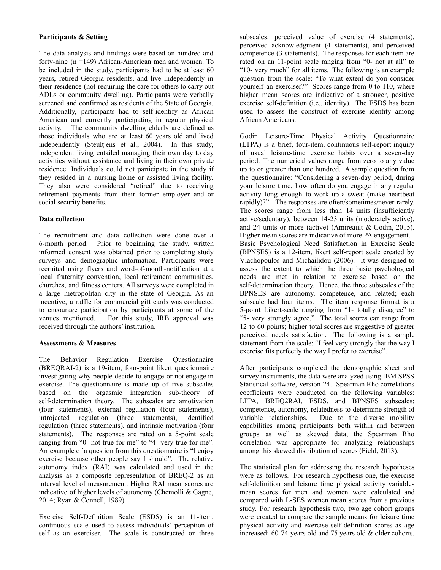### **Participants & Setting**

The data analysis and findings were based on hundred and forty-nine (n =149) African-American men and women. To be included in the study, participants had to be at least 60 years, retired Georgia residents, and live independently in their residence (not requiring the care for others to carry out ADLs or community dwelling). Participants were verbally screened and confirmed as residents of the State of Georgia. Additionally, participants had to self-identify as African American and currently participating in regular physical activity. The community dwelling elderly are defined as those individuals who are at least 60 years old and lived independently (Steultjens et al., 2004). In this study, independent living entailed managing their own day to day activities without assistance and living in their own private residence. Individuals could not participate in the study if they resided in a nursing home or assisted living facility. They also were considered "retired" due to receiving retirement payments from their former employer and or social security benefits.

## **Data collection**

The recruitment and data collection were done over a 6-month period. Prior to beginning the study, written informed consent was obtained prior to completing study surveys and demographic information. Participants were recruited using flyers and word-of-mouth-notification at a local fraternity convention, local retirement communities, churches, and fitness centers. All surveys were completed in a large metropolitan city in the state of Georgia. As an incentive, a raffle for commercial gift cards was conducted to encourage participation by participants at some of the venues mentioned. For this study, IRB approval was received through the authors' institution.

## **Assessments & Measures**

The Behavior Regulation Exercise Questionnaire (BREQRAI-2) is a 19-item, four-point likert questionnaire investigating why people decide to engage or not engage in exercise. The questionnaire is made up of five subscales based on the orgasmic integration sub-theory of self-determination theory. The subscales are amotivation (four statements), external regulation (four statements), introjected regulation (three statements), identified regulation (three statements), and intrinsic motivation (four statements). The responses are rated on a 5-point scale ranging from "0- not true for me" to "4- very true for me". An example of a question from this questionnaire is "I enjoy exercise because other people say I should". The relative autonomy index (RAI) was calculated and used in the analysis as a composite representation of BREQ-2 as an interval level of measurement. Higher RAI mean scores are indicative of higher levels of autonomy (Chemolli & Gagne, 2014; Ryan & Connell, 1989).

Exercise Self-Definition Scale (ESDS) is an 11-item, continuous scale used to assess individuals' perception of self as an exerciser. The scale is constructed on three

subscales: perceived value of exercise (4 statements), perceived acknowledgment (4 statements), and perceived competence (3 statements). The responses for each item are rated on an 11-point scale ranging from "0- not at all" to "10- very much" for all items. The following is an example question from the scale: "To what extent do you consider yourself an exerciser?" Scores range from 0 to 110, where higher mean scores are indicative of a stronger, positive exercise self-definition (i.e., identity). The ESDS has been used to assess the construct of exercise identity among African Americans.

Godin Leisure-Time Physical Activity Questionnaire (LTPA) is a brief, four-item, continuous self-report inquiry of usual leisure-time exercise habits over a seven-day period. The numerical values range from zero to any value up to or greater than one hundred. A sample question from the questionnaire: "Considering a seven-day period, during your leisure time, how often do you engage in any regular activity long enough to work up a sweat (make heartbeat rapidly)?". The responses are often/sometimes/never-rarely. The scores range from less than 14 units (insufficiently active/sedentary), between 14-23 units (moderately active), and 24 units or more (active) (Amireault & Godin, 2015). Higher mean scores are indicative of more PA engagement. Basic Psychological Need Satisfaction in Exercise Scale (BPNSES) is a 12-item, likert self-report scale created by Vlachopoulos and Michailidou (2006). It was designed to assess the extent to which the three basic psychological needs are met in relation to exercise based on the self-determination theory. Hence, the three subscales of the BPNSES are autonomy, competence, and related; each subscale had four items. The item response format is a 5-point Likert-scale ranging from "1- totally disagree" to "5- very strongly agree." The total scores can range from 12 to 60 points; higher total scores are suggestive of greater perceived needs satisfaction. The following is a sample statement from the scale: "I feel very strongly that the way I exercise fits perfectly the way I prefer to exercise".

After participants completed the demographic sheet and survey instruments, the data were analyzed using IBM SPSS Statistical software, version 24. Spearman Rho correlations coefficients were conducted on the following variables: LTPA, BREQ2RAI, ESDS, and BPNSES subscales: competence, autonomy, relatedness to determine strength of variable relationships. Due to the diverse mobility capabilities among participants both within and between groups as well as skewed data, the Spearman Rho correlation was appropriate for analyzing relationships among this skewed distribution of scores (Field, 2013).

The statistical plan for addressing the research hypotheses were as follows. For research hypothesis one, the exercise self-definition and leisure time physical activity variables mean scores for men and women were calculated and compared with L-SES women mean scores from a previous study. For research hypothesis two, two age cohort groups were created to compare the sample means for leisure time physical activity and exercise self-definition scores as age increased: 60-74 years old and 75 years old & older cohorts.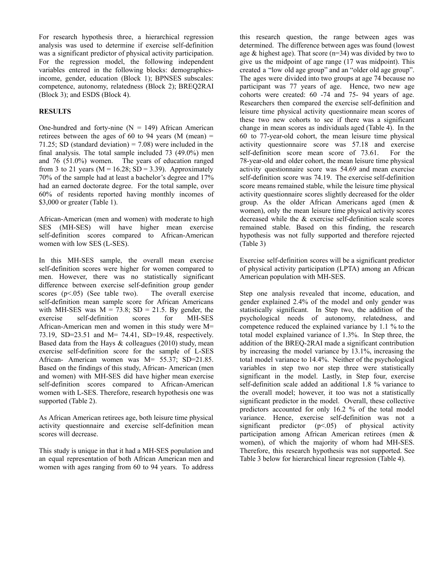For research hypothesis three, a hierarchical regression analysis was used to determine if exercise self-definition was a significant predictor of physical activity participation. For the regression model, the following independent variables entered in the following blocks: demographicsincome, gender, education (Block 1); BPNSES subscales: competence, autonomy, relatedness (Block 2); BREQ2RAI (Block 3); and ESDS (Block 4).

## **RESULTS**

One-hundred and forty-nine  $(N = 149)$  African American retirees between the ages of 60 to 94 years (M (mean)  $=$ 71.25; SD (standard deviation) =  $7.08$ ) were included in the final analysis. The total sample included 73 (49.0%) men and 76 (51.0%) women. The years of education ranged from 3 to 21 years ( $M = 16.28$ ; SD = 3.39). Approximately 70% of the sample had at least a bachelor's degree and 17% had an earned doctorate degree. For the total sample, over 60% of residents reported having monthly incomes of \$3,000 or greater (Table 1).

African-American (men and women) with moderate to high SES (MH-SES) will have higher mean exercise self-definition scores compared to African-American women with low SES (L-SES).

In this MH-SES sample, the overall mean exercise self-definition scores were higher for women compared to men. However, there was no statistically significant difference between exercise self-definition group gender scores  $(p<0.05)$  (See table two). The overall exercise self-definition mean sample score for African Americans with MH-SES was  $M = 73.8$ ; SD = 21.5. By gender, the exercise self-definition scores for MH-SES African-American men and women in this study were M= 73.19, SD=23.51 and M= 74.41, SD=19.48, respectively. Based data from the Hays & colleagues (2010) study, mean exercise self-definition score for the sample of L-SES African- American women was M= 55.37; SD=21.85. Based on the findings of this study, African- American (men and women) with MH-SES did have higher mean exercise self-definition scores compared to African-American women with L-SES. Therefore, research hypothesis one was supported (Table 2).

As African American retirees age, both leisure time physical activity questionnaire and exercise self-definition mean scores will decrease.

This study is unique in that it had a MH-SES population and an equal representation of both African American men and women with ages ranging from 60 to 94 years. To address

this research question, the range between ages was determined. The difference between ages was found (lowest age  $&$  highest age). That score (n=34) was divided by two to give us the midpoint of age range (17 was midpoint). This created a "low old age group" and an "older old age group". The ages were divided into two groups at age 74 because no participant was 77 years of age. Hence, two new age cohorts were created: 60 -74 and 75- 94 years of age. Researchers then compared the exercise self-definition and leisure time physical activity questionnaire mean scores of these two new cohorts to see if there was a significant change in mean scores as individuals aged (Table 4). In the 60 to 77-year-old cohort, the mean leisure time physical activity questionnaire score was 57.18 and exercise self-definition score mean score of 73.61. For the 78-year-old and older cohort, the mean leisure time physical activity questionnaire score was 54.69 and mean exercise self-definition score was 74.19. The exercise self-definition score means remained stable, while the leisure time physical activity questionnaire scores slightly decreased for the older group. As the older African Americans aged (men & women), only the mean leisure time physical activity scores decreased while the & exercise self-definition scale scores remained stable. Based on this finding, the research hypothesis was not fully supported and therefore rejected (Table 3)

Exercise self-definition scores will be a significant predictor of physical activity participation (LPTA) among an African American population with MH-SES.

Step one analysis revealed that income, education, and gender explained 2.4% of the model and only gender was statistically significant. In Step two, the addition of the psychological needs of autonomy, relatedness, and competence reduced the explained variance by 1.1 % to the total model explained variance of 1.3%. In Step three, the addition of the BREQ-2RAI made a significant contribution by increasing the model variance by 13.1%, increasing the total model variance to 14.4%. Neither of the psychological variables in step two nor step three were statistically significant in the model. Lastly, in Step four, exercise self-definition scale added an additional 1.8 % variance to the overall model; however, it too was not a statistically significant predictor in the model. Overall, these collective predictors accounted for only 16.2 % of the total model variance. Hence, exercise self-definition was not a significant predictor  $(p<0.05)$  of physical activity participation among African American retirees (men & women), of which the majority of whom had MH-SES. Therefore, this research hypothesis was not supported. See Table 3 below for hierarchical linear regression (Table 4).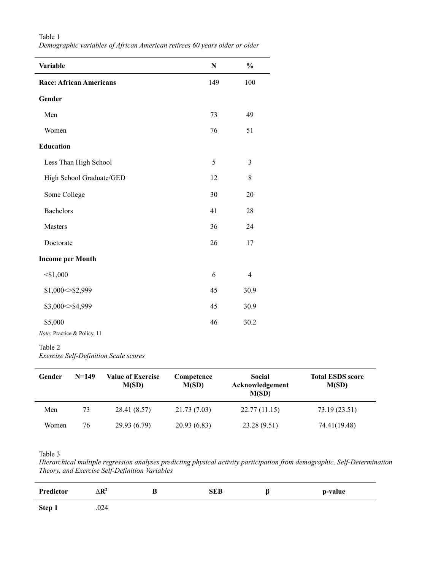| <b>Variable</b>                        | N   | $\frac{0}{0}$  |
|----------------------------------------|-----|----------------|
| <b>Race: African Americans</b>         | 149 | 100            |
| Gender                                 |     |                |
| Men                                    | 73  | 49             |
| Women                                  | 76  | 51             |
| <b>Education</b>                       |     |                |
| Less Than High School                  | 5   | 3              |
| High School Graduate/GED               | 12  | $8\,$          |
| Some College                           | 30  | 20             |
| <b>Bachelors</b>                       | 41  | 28             |
| Masters                                | 36  | 24             |
| Doctorate                              | 26  | 17             |
| <b>Income per Month</b>                |     |                |
| $<$ \$1,000                            | 6   | $\overline{4}$ |
| \$1,000<\$2,999                        | 45  | 30.9           |
| \$3,000 < \$4,999                      | 45  | 30.9           |
| \$5,000<br>Note: Practice & Policy, 11 | 46  | 30.2           |

## Table 1 *Demographic variables of African American retirees 60 years older or older*

#### Table 2

*Exercise Self-Definition Scale scores*

| Gender | $N=149$ | <b>Value of Exercise</b><br>M(SD) | Competence<br>M(SD) | Social<br>Acknowledgement<br>M(SD) | <b>Total ESDS score</b><br>M(SD) |
|--------|---------|-----------------------------------|---------------------|------------------------------------|----------------------------------|
| Men    | 73      | 28.41 (8.57)                      | 21.73 (7.03)        | 22.77(11.15)                       | 73.19 (23.51)                    |
| Women  | 76      | 29.93 (6.79)                      | 20.93(6.83)         | 23.28 (9.51)                       | 74.41(19.48)                     |

#### Table 3

*Hierarchical multiple regression analyses predicting physical activity participation from demographic, Self-Determination Theory, and Exercise Self-Definition Variables*

| Predictor | $\Delta {\bf R}^2$ | B | <b>SEB</b> | p-value |
|-----------|--------------------|---|------------|---------|
| Step 1    | .024               |   |            |         |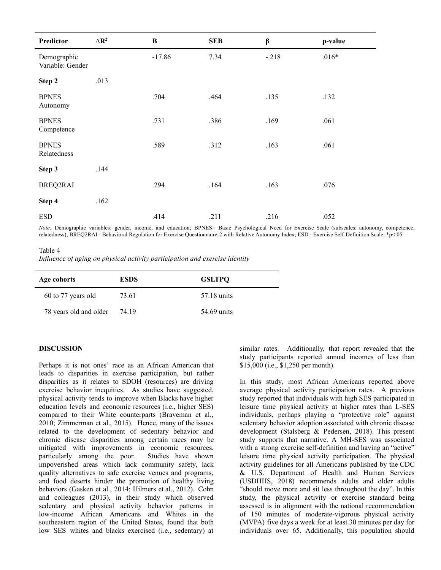| Predictor                       | $\Delta$ <b>R</b> <sup>2</sup> | B        | <b>SEB</b> | β       | p-value |
|---------------------------------|--------------------------------|----------|------------|---------|---------|
| Demographic<br>Variable: Gender |                                | $-17.86$ | 7.34       | $-.218$ | $.016*$ |
| Step 2                          | .013                           |          |            |         |         |
| <b>BPNES</b><br>Autonomy        |                                | .704     | .464       | .135    | .132    |
| <b>BPNES</b><br>Competence      |                                | .731     | .386       | .169    | .061    |
| <b>BPNES</b><br>Relatedness     |                                | .589     | .312       | .163    | .061    |
| Step 3                          | .144                           |          |            |         |         |
| BREQ2RAI                        |                                | .294     | .164       | .163    | .076    |
| Step 4                          | .162                           |          |            |         |         |
| <b>ESD</b>                      |                                | .414     | .211       | .216    | .052    |

*Note:* Demographic variables: gender, income, and education; BPNES= Basic Psychological Need for Exercise Scale (subscales: autonomy, competence, relatedness); BREQ2RAI= Behavioral Regulation for Exercise Questionnaire-2 with Relative Autonomy Index; ESD= Exercise Self-Definition Scale; \*p<.05

Table 4 *Influence of aging on physical activity participation and exercise identity*

| Age cohorts            | <b>ESDS</b> | <b>GSLTPO</b> |
|------------------------|-------------|---------------|
| 60 to 77 years old     | 73.61       | 57.18 units   |
| 78 years old and older | 74 19       | 54.69 units   |

#### **DISCUSSION**

Perhaps it is not ones' race as an African American that leads to disparities in exercise participation, but rather disparities as it relates to SDOH (resources) are driving exercise behavior inequities. As studies have suggested, physical activity tends to improve when Blacks have higher education levels and economic resources (i.e., higher SES) compared to their White counterparts (Braveman et al., 2010; Zimmerman et al., 2015). Hence, many of the issues related to the development of sedentary behavior and chronic disease disparities among certain races may be mitigated with improvements in economic resources, particularly among the poor. Studies have shown impoverished areas which lack community safety, lack quality alternatives to safe exercise venues and programs, and food deserts hinder the promotion of healthy living behaviors (Gasken et al., 2014; Hilmers et al., 2012). Cohn and colleagues (2013), in their study which observed sedentary and physical activity behavior patterns in low-income African Americans and Whites in the southeastern region of the United States, found that both low SES whites and blacks exercised (i.e., sedentary) at

similar rates. Additionally, that report revealed that the study participants reported annual incomes of less than \$15,000 (i.e., \$1,250 per month).

In this study, most African Americans reported above average physical activity participation rates. A previous study reported that individuals with high SES participated in leisure time physical activity at higher rates than L-SES individuals, perhaps playing a "protective role" against sedentary behavior adoption associated with chronic disease development (Stalsberg & Pedersen, 2018). This present study supports that narrative. A MH-SES was associated with a strong exercise self-definition and having an "active" leisure time physical activity participation. The physical activity guidelines for all Americans published by the CDC & U.S. Department of Health and Human Services (USDHHS, 2018) recommends adults and older adults "should move more and sit less throughout the day". In this study, the physical activity or exercise standard being assessed is in alignment with the national recommendation of 150 minutes of moderate-vigorous physical activity (MVPA) five days a week for at least 30 minutes per day for individuals over 65. Additionally, this population should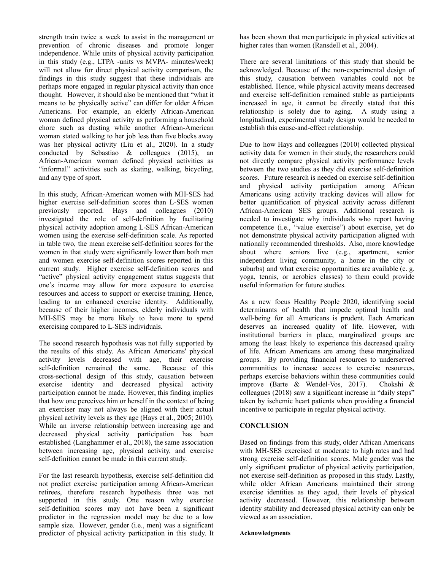strength train twice a week to assist in the management or prevention of chronic diseases and promote longer independence. While units of physical activity participation in this study (e.g., LTPA -units vs MVPA- minutes/week) will not allow for direct physical activity comparison, the findings in this study suggest that these individuals are perhaps more engaged in regular physical activity than once thought. However, it should also be mentioned that "what it means to be physically active" can differ for older African Americans. For example, an elderly African-American woman defined physical activity as performing a household chore such as dusting while another African-American woman stated walking to her job less than five blocks away was her physical activity (Liu et al., 2020). In a study conducted by Sebastiao & colleagues (2015), an African-American woman defined physical activities as "informal" activities such as skating, walking, bicycling, and any type of sport.

In this study, African-American women with MH-SES had higher exercise self-definition scores than L-SES women previously reported. Hays and colleagues (2010) investigated the role of self-definition by facilitating physical activity adoption among L-SES African-American women using the exercise self-definition scale. As reported in table two, the mean exercise self-definition scores for the women in that study were significantly lower than both men and women exercise self-definition scores reported in this current study. Higher exercise self-definition scores and "active" physical activity engagement status suggests that one's income may allow for more exposure to exercise resources and access to support or exercise training. Hence, leading to an enhanced exercise identity. Additionally, because of their higher incomes, elderly individuals with MH-SES may be more likely to have more to spend exercising compared to L-SES individuals.

The second research hypothesis was not fully supported by the results of this study. As African Americans' physical activity levels decreased with age, their exercise self-definition remained the same. cross-sectional design of this study, causation between exercise identity and decreased physical activity participation cannot be made. However, this finding implies that how one perceives him or herself in the context of being an exerciser may not always be aligned with their actual physical activity levels as they age (Hays et al., 2005; 2010). While an inverse relationship between increasing age and decreased physical activity participation has been established (Langhammer et al., 2018), the same association between increasing age, physical activity, and exercise self-definition cannot be made in this current study.

For the last research hypothesis, exercise self-definition did not predict exercise participation among African-American retirees, therefore research hypothesis three was not supported in this study. One reason why exercise self-definition scores may not have been a significant predictor in the regression model may be due to a low sample size. However, gender (i.e., men) was a significant predictor of physical activity participation in this study. It has been shown that men participate in physical activities at higher rates than women (Ransdell et al., 2004).

There are several limitations of this study that should be acknowledged. Because of the non-experimental design of this study, causation between variables could not be established. Hence, while physical activity means decreased and exercise self-definition remained stable as participants increased in age, it cannot be directly stated that this relationship is solely due to aging. A study using a longitudinal, experimental study design would be needed to establish this cause-and-effect relationship.

Due to how Hays and colleagues (2010) collected physical activity data for women in their study, the researchers could not directly compare physical activity performance levels between the two studies as they did exercise self-definition scores. Future research is needed on exercise self-definition and physical activity participation among African Americans using activity tracking devices will allow for better quantification of physical activity across different African-American SES groups. Additional research is needed to investigate why individuals who report having competence (i.e., "value exercise") about exercise, yet do not demonstrate physical activity participation aligned with nationally recommended thresholds. Also, more knowledge about where seniors live (e.g., apartment, senior independent living community, a home in the city or suburbs) and what exercise opportunities are available (e. g. yoga, tennis, or aerobics classes) to them could provide useful information for future studies.

As a new focus Healthy People 2020, identifying social determinants of health that impede optimal health and well-being for all Americans is prudent. Each American deserves an increased quality of life. However, with institutional barriers in place, marginalized groups are among the least likely to experience this decreased quality of life. African Americans are among these marginalized groups. By providing financial resources to underserved communities to increase access to exercise resources, perhaps exercise behaviors within these communities could improve (Barte & Wendel-Vos, 2017). Chokshi & colleagues (2018) saw a significant increase in "daily steps" taken by ischemic heart patients when providing a financial incentive to participate in regular physical activity.

## **CONCLUSION**

Based on findings from this study, older African Americans with MH-SES exercised at moderate to high rates and had strong exercise self-definition scores. Male gender was the only significant predictor of physical activity participation, not exercise self-definition as proposed in this study. Lastly, while older African Americans maintained their strong exercise identities as they aged, their levels of physical activity decreased. However, this relationship between identity stability and decreased physical activity can only be viewed as an association.

#### **Acknowledgments**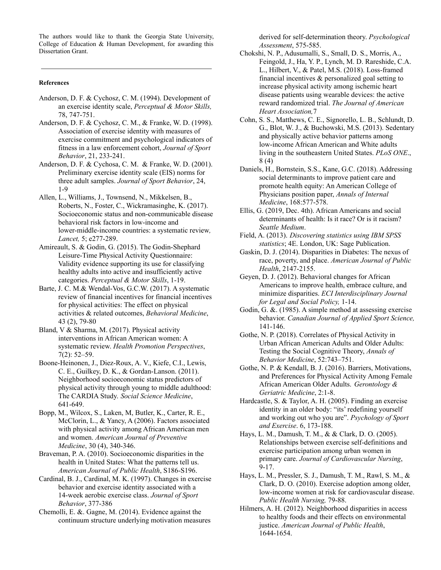The authors would like to thank the Georgia State University, College of Education & Human Development, for awarding this Dissertation Grant.

#### **References**

- Anderson, D. F. & Cychosz, C. M. (1994). Development of an exercise identity scale, *Perceptual & Motor Skills,* 78, 747-751.
- Anderson, D. F. & Cychosz, C. M., & Franke, W. D. (1998). Association of exercise identity with measures of exercise commitment and psychological indicators of fitness in a law enforcement cohort, *Journal of Sport Behavior*, 21, 233-241.
- Anderson, D. F. & Cychosa, C. M. & Franke, W. D. (2001). Preliminary exercise identity scale (EIS) norms for three adult samples. *Journal of Sport Behavior*, 24, 1-9
- Allen, L., Williams, J., Townsend, N., Mikkelsen, B., Roberts, N., Foster, C., Wickramasinghe, K. (2017). Socioeconomic status and non-communicable disease behavioral risk factors in low-income and lower-middle-income countries: a systematic review*, Lancet,* 5; e277-289.
- Amireault, S. & Godin, G. (2015). The Godin-Shephard Leisure-Time Physical Activity Questionnaire: Validity evidence supporting its use for classifying healthy adults into active and insufficiently active categories. *Perceptual & Motor Skills*, 1-19.
- Barte, J. C. M.& Wendal-Vos, G.C.W. (2017). A systematic review of financial incentives for financial incentives for physical activities: The effect on physical activities & related outcomes, *Behavioral Medicine*, 43 (2), 79-80
- Bland, V & Sharma, M. (2017). Physical activity interventions in African American women: A systematic review. *Health Promotion Perspectives*, 7(2): 52–59.
- Boone-Heinonen, J., Diez-Roux, A. V., Kiefe, C.I., Lewis, C. E., Guilkey, D. K., & Gordan-Lanson. (2011). Neighborhood socioeconomic status predictors of physical activity through young to middle adulthood: The CARDIA Study. *Social Science Medicine*, 641-649.
- Bopp, M., Wilcox, S., Laken, M, Butler, K., Carter, R. E., McClorin, L., & Yancy, A (2006). Factors associated with physical activity among African American men and women. *American Journal of Preventive Medicine*, 30 (4), 340-346.
- Braveman, P. A. (2010). Socioeconomic disparities in the health in United States: What the patterns tell us. *American Journal of Public Health*, S186-S196.
- Cardinal, B. J., Cardinal, M. K. (1997). Changes in exercise behavior and exercise identity associated with a 14-week aerobic exercise class. *Journal of Sport Behavior*, 377-386
- Chemolli, E. &. Gagne, M. (2014). Evidence against the continuum structure underlying motivation measures

derived for self-determination theory. *Psychological Assessment*, 575-585.

- Chokshi, N. P., Adusumalli, S., Small, D. S., Morris, A., Feingold, J., Ha, Y. P., Lynch, M. D. Rareshide, C.A. L., Hilbert, V., & Patel, M.S. (2018). Loss-framed financial incentives  $\&$  personalized goal setting to increase physical activity among ischemic heart disease patients using wearable devices: the active reward randomized trial. *The Journal of American Heart Association,*7
- Cohn, S. S., Matthews, C. E., Signorello, L. B., Schlundt, D. G., Blot, W. J., & Buchowski, M.S. (2013). Sedentary and physically active behavior patterns among low-income African American and White adults living in the southeastern United States. *PLoS ONE*., 8 (4)
- Daniels, H., Bornstein, S.S., Kane, G.C. (2018). Addressing social determinants to improve patient care and promote health equity: An American College of Physicians position paper, *Annals of Internal Medicine*, 168:577-578.
- Ellis, G. (2019, Dec. 4th). African Americans and social determinants of health: Is it race? Or is it racism? *Seattle Medium*.
- Field, A. (2013). *Discovering statistics using IBM SPSS statistics*; 4E. London, UK: Sage Publication.
- Gaskin, D. J. (2014). Disparities in Diabetes: The nexus of race, poverty, and place. *American Journal of Public Health*, 2147-2155.
- Geyen, D. J. (2012). Behavioral changes for African Americans to improve health, embrace culture, and minimize disparities. *ECI Interdisciplinary Journal for Legal and Social Policy,* 1-14.
- Godin, G. &. (1985). A simple method at assessing exercise behavior. *Canadian Journal of Applied Sport Science,* 141-146.
- Gothe, N. P. (2018). Correlates of Physical Activity in Urban African American Adults and Older Adults: Testing the Social Cognitive Theory, *Annals of Behavior Medicine*, 52:743–751.
- Gothe, N. P. & Kendall, B. J. (2016). Barriers, Motivations, and Preferences for Physical Activity Among Female African American Older Adults. *Gerontology & Geriatric Medicine*, 2:1-8.
- Hardcastle, S. & Taylor, A. H. (2005). Finding an exercise identity in an older body: "its' redefining yourself and working out who you are". *Psychology of Sport and Exercise*. 6, 173-188.
- Hays, L. M., Damush, T. M., & & Clark, D. O. (2005). Relationships between exercise self-definitions and exercise participation among urban women in primary care. *Journal of Cardiovascular Nursing*, 9-17.
- Hays, L. M., Pressler, S. J., Damush, T. M., Rawl, S. M., & Clark, D. O. (2010). Exercise adoption among older, low-income women at risk for cardiovascular disease. *Public Health Nursing,* 79-88.
- Hilmers, A. H. (2012). Neighborhood disparities in access to healthy foods and their effects on environmental justice. *American Journal of Public Health*, 1644-1654.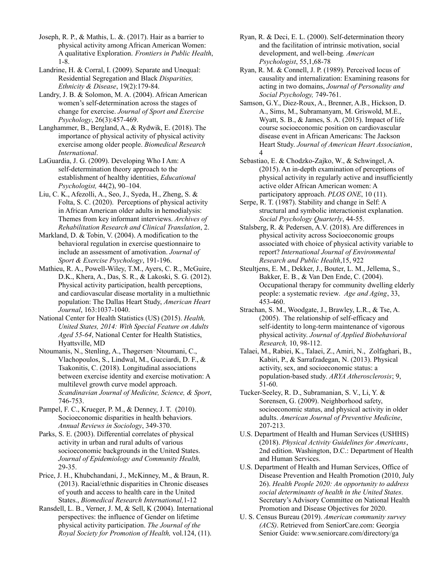Joseph, R. P., & Mathis, L. &. (2017). Hair as a barrier to physical activity among African American Women: A qualitative Exploration. *Frontiers in Public Health*, 1-8.

Landrine, H. & Corral, I. (2009). Separate and Unequal: Residential Segregation and Black *Disparities, Ethnicity & Disease*, 19(2):179-84.

Landry, J. B. & Solomon, M. A. (2004). African American women's self-determination across the stages of change for exercise. *Journal of Sport and Exercise Psychology*, 26(3):457-469.

Langhammer, B., Bergland, A., & Rydwik, E. (2018). The importance of physical activity of physical activity exercise among older people. *Biomedical Research International*.

LaGuardia, J. G. (2009). Developing Who I Am: A self-determination theory approach to the establishment of healthy identities, *Educational Psychologist,* 44(2), 90–104.

Liu, C. K., Afezolli, A., Seo, J., Syeda, H., Zheng, S. & Folta, S. C. (2020). Perceptions of physical activity in African American older adults in hemodialysis: Themes from key informant interviews. *Archives of Rehabilitation Research and Clinical Translation*, 2.

Markland, D. & Tobin, V. (2004). A modification to the behavioral regulation in exercise questionnaire to include an assessment of amotivation. *Journal of Sport & Exercise Psychology*, 191-196.

Mathieu, R. A., Powell-Wiley, T.M., Ayers, C. R., McGuire, D.K., Khera, A., Das, S. R., & Lakoski, S. G. (2012). Physical activity participation, health perceptions, and cardiovascular disease mortality in a multiethnic population: The Dallas Heart Study, *American Heart Journal*, 163:1037-1040.

National Center for Health Statistics (US) (2015). *Health, United States, 2014: With Special Feature on Adults Aged 55-64*, National Center for Health Statistics, Hyattsville, MD

Ntoumanis, N., Stenling, A., Thøgersen‐Ntoumani, C., Vlachopoulos, S., Lindwal, M., Gucciardi, D. F., & Tsakonitis, C. (2018). Longitudinal associations between exercise identity and exercise motivation: A multilevel growth curve model approach. *Scandinavian Journal of Medicine, Science, & Sport*, 746-753.

Pampel, F. C., Krueger, P. M., & Denney, J. T. (2010). Socioeconomic disparities in health behaviors. *Annual Reviews in Sociology*, 349-370.

Parks, S. E. (2003). Differential correlates of physical activity in urban and rural adults of various socioeconomic backgrounds in the United States. *Journal of Epidemiology and Community Health,* 29-35.

Price, J. H., Khubchandani, J., McKinney, M., & Braun, R. (2013). Racial/ethnic disparities in Chronic diseases of youth and access to health care in the United States., *Biomedical Research International,*1-12

Ransdell, L. B., Verner, J. M, & Sell, K (2004). International perspectives: the influence of Gender on lifetime physical activity participation. *The Journal of the Royal Society for Promotion of Health,* vol.124, (11).

Ryan, R. & Deci, E. L. (2000). Self-determination theory and the facilitation of intrinsic motivation, social development, and well-being*. American Psychologist*, 55,1,68-78

Ryan, R. M. & Connell, J. P. (1989). Perceived locus of causality and internalization: Examining reasons for acting in two domains, *Journal of Personality and Social Psychology,* 749-761.

Samson, G.Y., Diez-Roux, A., Brenner, A.B., Hickson, D. A., Sims, M., Subramanyam, M. Griswold, M.E., Wyatt, S. B., & James, S. A. (2015). Impact of life course socioeconomic position on cardiovascular disease event in African Americans: The Jackson Heart Study. *Journal of American Heart Association*, 4

Sebastiao, E. & Chodzko-Zajko, W., & Schwingel, A. (2015). An in-depth examination of perceptions of physical activity in regularly active and insufficiently active older African American women: A participatory approach. *PLOS ONE*, 10 (11).

Serpe, R. T. (1987). Stability and change in Self: A structural and symbolic interactionist explanation. *Social Psychology Quarterly*, 44-55.

Stalsberg, R. & Pedersen, A.V. (2018). Are differences in physical activity across Socioeconomic groups associated with choice of physical activity variable to report? *International Journal of Environmental Research and Public Health*,15, 922

Steultjens, E. M., Dekker, J., Bouter, L. M., Jellema, S., Bakker, E. B., & Van Den Ende, C. (2004). Occupational therapy for community dwelling elderly people: a systematic review*. Age and Aging*, 33, 453-460.

Strachan, S. M., Woodgate, J., Brawley, L.R., & Tse, A. (2005). The relationship of self-efficacy and self-identity to long-term maintenance of vigorous physical activity. *Journal of Applied Biobehavioral Research,* 10, 98-112.

Talaei, M., Rabiei, K., Talaei, Z., Amiri, N., Zolfaghari, B., Kabiri, P., & Sarrafzadegan, N. (2013). Physical activity, sex, and socioeconomic status: a population-based study. *ARYA Atherosclerosis*; 9, 51-60.

Tucker-Seeley, R. D., Subramanian, S. V., Li, Y. & Sorensen, G. (2009). Neighborhood safety, socioeconomic status, and physical activity in older adults. *American Journal of Preventive Medicine*, 207-213.

U.S. Department of Health and Human Services (USHHS) (2018). *Physical Activity Guidelines for Americans*, 2nd edition. Washington, D.C.: Department of Health and Human Services.

U.S. Department of Health and Human Services, Office of Disease Prevention and Health Promotion (2010, July 26). *Health People 2020: An opportunity to address social determinants of health in the United States*. Secretary's Advisory Committee on National Health Promotion and Disease Objectives for 2020.

U. S. Census Bureau (2019). *American community survey (ACS)*. Retrieved from SeniorCare.com: Georgia Senior Guide: www.seniorcare.com/directory/ga